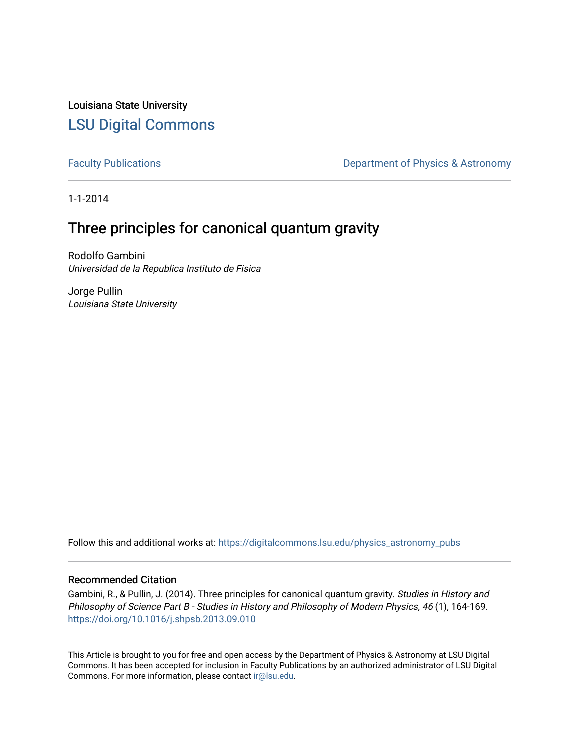Louisiana State University [LSU Digital Commons](https://digitalcommons.lsu.edu/)

[Faculty Publications](https://digitalcommons.lsu.edu/physics_astronomy_pubs) **Exercise 2 and Table 2 and Table 2 and Table 2 and Table 2 and Table 2 and Table 2 and Table 2 and Table 2 and Table 2 and Table 2 and Table 2 and Table 2 and Table 2 and Table 2 and Table 2 and Table** 

1-1-2014

# Three principles for canonical quantum gravity

Rodolfo Gambini Universidad de la Republica Instituto de Fisica

Jorge Pullin Louisiana State University

Follow this and additional works at: [https://digitalcommons.lsu.edu/physics\\_astronomy\\_pubs](https://digitalcommons.lsu.edu/physics_astronomy_pubs?utm_source=digitalcommons.lsu.edu%2Fphysics_astronomy_pubs%2F4333&utm_medium=PDF&utm_campaign=PDFCoverPages) 

#### Recommended Citation

Gambini, R., & Pullin, J. (2014). Three principles for canonical quantum gravity. Studies in History and Philosophy of Science Part B - Studies in History and Philosophy of Modern Physics, 46 (1), 164-169. <https://doi.org/10.1016/j.shpsb.2013.09.010>

This Article is brought to you for free and open access by the Department of Physics & Astronomy at LSU Digital Commons. It has been accepted for inclusion in Faculty Publications by an authorized administrator of LSU Digital Commons. For more information, please contact [ir@lsu.edu](mailto:ir@lsu.edu).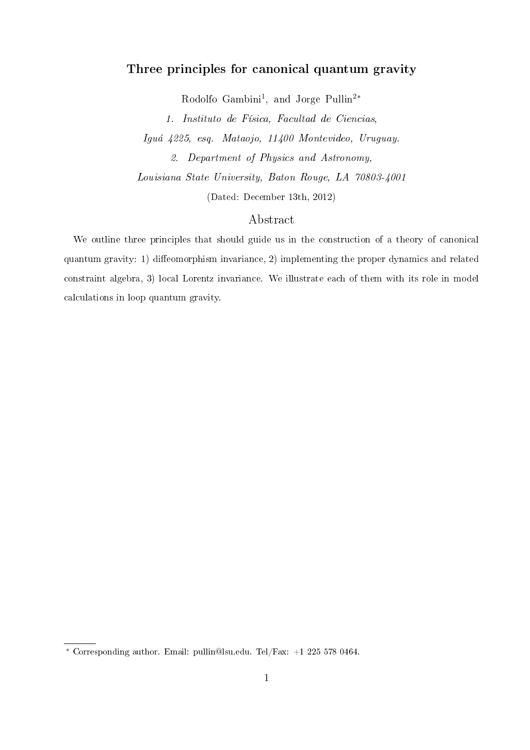# Three principles for canonical quantum gravity

Rodolfo Gambini<sup>1</sup>, and Jorge Pullin<sup>2\*</sup>

1. Instituto de Física, Facultad de Ciencias, Iguá 4225, esq. Mataojo, 11400 Montevideo, Uruguay. 2. Department of Physics and Astronomy, Louisiana State University, Baton Rouge, LA 70803-4001

(Dated: December 13th, 2012)

## Abstract

We outline three principles that should guide us in the construction of a theory of canonical quantum gravity: 1) diffeomorphism invariance, 2) implementing the proper dynamics and related constraint algebra, 3) local Lorentz invariance. We illustrate each of them with its role in model calculations in loop quantum gravity.

<sup>∗</sup> Corresponding author. Email: pullin@lsu.edu. Tel/Fax: +1 225 578 0464.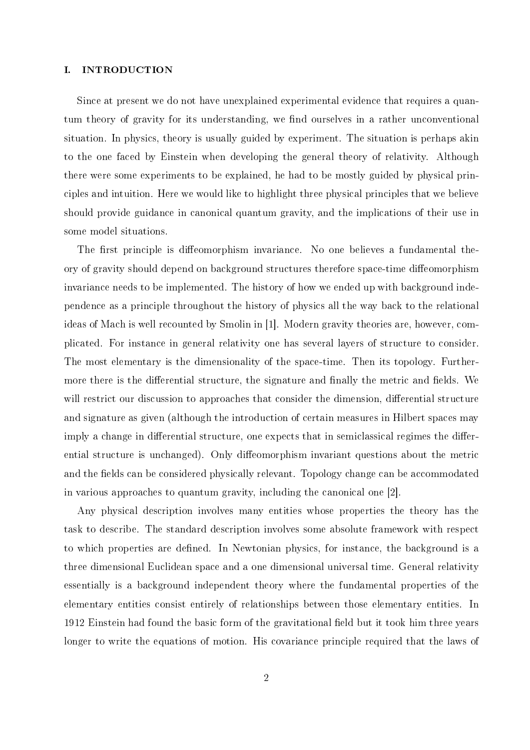## I. INTRODUCTION

Since at present we do not have unexplained experimental evidence that requires a quantum theory of gravity for its understanding, we find ourselves in a rather unconventional situation. In physics, theory is usually guided by experiment. The situation is perhaps akin to the one faced by Einstein when developing the general theory of relativity. Although there were some experiments to be explained, he had to be mostly guided by physical principles and intuition. Here we would like to highlight three physical principles that we believe should provide guidance in canonical quantum gravity, and the implications of their use in some model situations.

The first principle is diffeomorphism invariance. No one believes a fundamental theory of gravity should depend on background structures therefore space-time diffeomorphism invariance needs to be implemented. The history of how we ended up with background independence as a principle throughout the history of physics all the way back to the relational ideas of Mach is well recounted by Smolin in [1]. Modern gravity theories are, however, complicated. For instance in general relativity one has several layers of structure to consider. The most elementary is the dimensionality of the space-time. Then its topology. Furthermore there is the differential structure, the signature and finally the metric and fields. We will restrict our discussion to approaches that consider the dimension, differential structure and signature as given (although the introduction of certain measures in Hilbert spaces may imply a change in differential structure, one expects that in semiclassical regimes the differential structure is unchanged). Only diffeomorphism invariant questions about the metric and the fields can be considered physically relevant. Topology change can be accommodated in various approaches to quantum gravity, including the canonical one [2].

Any physical description involves many entities whose properties the theory has the task to describe. The standard description involves some absolute framework with respect to which properties are defined. In Newtonian physics, for instance, the background is a three dimensional Euclidean space and a one dimensional universal time. General relativity essentially is a background independent theory where the fundamental properties of the elementary entities consist entirely of relationships between those elementary entities. In 1912 Einstein had found the basic form of the gravitational field but it took him three years longer to write the equations of motion. His covariance principle required that the laws of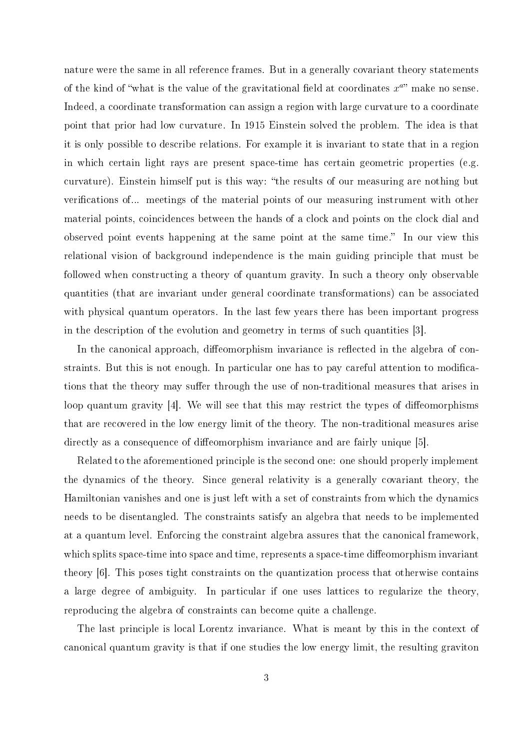nature were the same in all reference frames. But in a generally covariant theory statements of the kind of "what is the value of the gravitational field at coordinates  $x^{a}$ " make no sense. Indeed, a coordinate transformation can assign a region with large curvature to a coordinate point that prior had low curvature. In 1915 Einstein solved the problem. The idea is that it is only possible to describe relations. For example it is invariant to state that in a region in which certain light rays are present space-time has certain geometric properties (e.g. curvature). Einstein himself put is this way: "the results of our measuring are nothing but verifications of... meetings of the material points of our measuring instrument with other material points, coincidences between the hands of a clock and points on the clock dial and observed point events happening at the same point at the same time." In our view this relational vision of background independence is the main guiding principle that must be followed when constructing a theory of quantum gravity. In such a theory only observable quantities (that are invariant under general coordinate transformations) can be associated with physical quantum operators. In the last few years there has been important progress in the description of the evolution and geometry in terms of such quantities [3].

In the canonical approach, diffeomorphism invariance is reflected in the algebra of constraints. But this is not enough. In particular one has to pay careful attention to modications that the theory may suffer through the use of non-traditional measures that arises in loop quantum gravity  $[4]$ . We will see that this may restrict the types of diffeomorphisms that are recovered in the low energy limit of the theory. The non-traditional measures arise directly as a consequence of diffeomorphism invariance and are fairly unique [5].

Related to the aforementioned principle is the second one: one should properly implement the dynamics of the theory. Since general relativity is a generally covariant theory, the Hamiltonian vanishes and one is just left with a set of constraints from which the dynamics needs to be disentangled. The constraints satisfy an algebra that needs to be implemented at a quantum level. Enforcing the constraint algebra assures that the canonical framework, which splits space-time into space and time, represents a space-time diffeomorphism invariant theory [6]. This poses tight constraints on the quantization process that otherwise contains a large degree of ambiguity. In particular if one uses lattices to regularize the theory, reproducing the algebra of constraints can become quite a challenge.

The last principle is local Lorentz invariance. What is meant by this in the context of canonical quantum gravity is that if one studies the low energy limit, the resulting graviton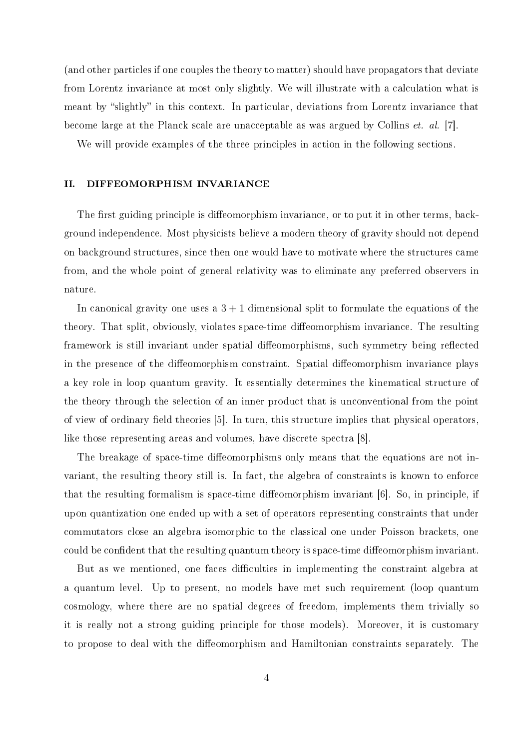(and other particles if one couples the theory to matter) should have propagators that deviate from Lorentz invariance at most only slightly. We will illustrate with a calculation what is meant by "slightly" in this context. In particular, deviations from Lorentz invariance that become large at the Planck scale are unacceptable as was argued by Collins et. al. [7].

We will provide examples of the three principles in action in the following sections.

#### II. DIFFEOMORPHISM INVARIANCE

The first guiding principle is diffeomorphism invariance, or to put it in other terms, background independence. Most physicists believe a modern theory of gravity should not depend on background structures, since then one would have to motivate where the structures came from, and the whole point of general relativity was to eliminate any preferred observers in nature.

In canonical gravity one uses a  $3 + 1$  dimensional split to formulate the equations of the theory. That split, obviously, violates space-time diffeomorphism invariance. The resulting framework is still invariant under spatial diffeomorphisms, such symmetry being reflected in the presence of the diffeomorphism constraint. Spatial diffeomorphism invariance plays a key role in loop quantum gravity. It essentially determines the kinematical structure of the theory through the selection of an inner product that is unconventional from the point of view of ordinary field theories  $[5]$ . In turn, this structure implies that physical operators, like those representing areas and volumes, have discrete spectra [8].

The breakage of space-time diffeomorphisms only means that the equations are not invariant, the resulting theory still is. In fact, the algebra of constraints is known to enforce that the resulting formalism is space-time diffeomorphism invariant  $|6|$ . So, in principle, if upon quantization one ended up with a set of operators representing constraints that under commutators close an algebra isomorphic to the classical one under Poisson brackets, one could be confident that the resulting quantum theory is space-time diffeomorphism invariant.

But as we mentioned, one faces difficulties in implementing the constraint algebra at a quantum level. Up to present, no models have met such requirement (loop quantum cosmology, where there are no spatial degrees of freedom, implements them trivially so it is really not a strong guiding principle for those models). Moreover, it is customary to propose to deal with the diffeomorphism and Hamiltonian constraints separately. The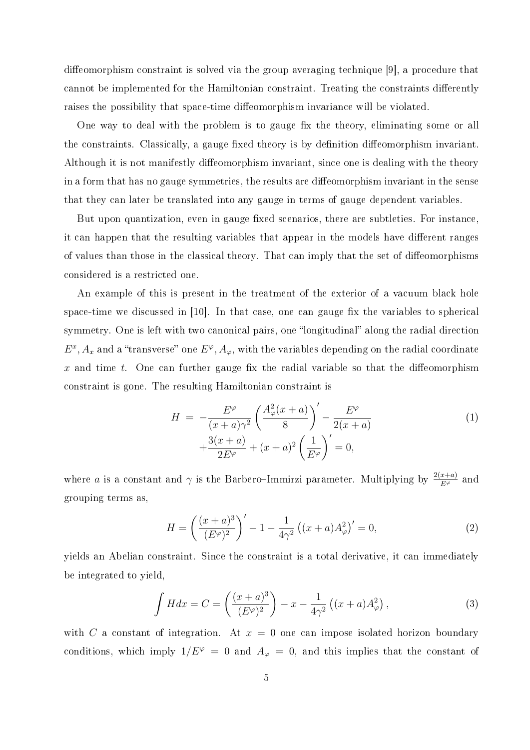diffeomorphism constraint is solved via the group averaging technique  $[9]$ , a procedure that cannot be implemented for the Hamiltonian constraint. Treating the constraints differently raises the possibility that space-time diffeomorphism invariance will be violated.

One way to deal with the problem is to gauge fix the theory, eliminating some or all the constraints. Classically, a gauge fixed theory is by definition diffeomorphism invariant. Although it is not manifestly diffeomorphism invariant, since one is dealing with the theory in a form that has no gauge symmetries, the results are diffeomorphism invariant in the sense that they can later be translated into any gauge in terms of gauge dependent variables.

But upon quantization, even in gauge fixed scenarios, there are subtleties. For instance, it can happen that the resulting variables that appear in the models have different ranges of values than those in the classical theory. That can imply that the set of diffeomorphisms considered is a restricted one.

An example of this is present in the treatment of the exterior of a vacuum black hole space-time we discussed in  $[10]$ . In that case, one can gauge fix the variables to spherical symmetry. One is left with two canonical pairs, one "longitudinal" along the radial direction  $E^x$ ,  $A_x$  and a "transverse" one  $E^\varphi$ ,  $A_\varphi$ , with the variables depending on the radial coordinate x and time t. One can further gauge fix the radial variable so that the diffeomorphism constraint is gone. The resulting Hamiltonian constraint is

$$
H = -\frac{E^{\varphi}}{(x+a)\gamma^2} \left(\frac{A_{\varphi}^2(x+a)}{8}\right)' - \frac{E^{\varphi}}{2(x+a)}
$$
  
 
$$
+ \frac{3(x+a)}{2E^{\varphi}} + (x+a)^2 \left(\frac{1}{E^{\varphi}}\right)' = 0,
$$
 (1)

where a is a constant and  $\gamma$  is the Barbero-Immirzi parameter. Multiplying by  $\frac{2(x+a)}{E^{\varphi}}$  and grouping terms as,

$$
H = \left(\frac{(x+a)^3}{(E^{\varphi})^2}\right)' - 1 - \frac{1}{4\gamma^2} \left((x+a)A_{\varphi}^2\right)' = 0,
$$
\n(2)

yields an Abelian constraint. Since the constraint is a total derivative, it can immediately be integrated to yield,

$$
\int Hdx = C = \left(\frac{(x+a)^3}{(E^{\varphi})^2}\right) - x - \frac{1}{4\gamma^2} \left((x+a)A_{\varphi}^2\right),\tag{3}
$$

with C a constant of integration. At  $x = 0$  one can impose isolated horizon boundary conditions, which imply  $1/E^{\varphi} = 0$  and  $A_{\varphi} = 0$ , and this implies that the constant of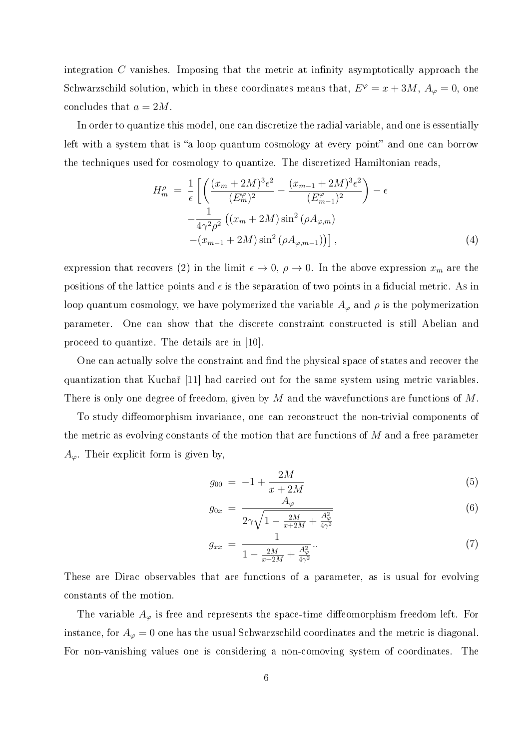integration  $C$  vanishes. Imposing that the metric at infinity asymptotically approach the Schwarzschild solution, which in these coordinates means that,  $E^{\varphi} = x + 3M$ ,  $A_{\varphi} = 0$ , one concludes that  $a = 2M$ .

In order to quantize this model, one can discretize the radial variable, and one is essentially left with a system that is "a loop quantum cosmology at every point" and one can borrow the techniques used for cosmology to quantize. The discretized Hamiltonian reads,

$$
H_{m}^{\rho} = \frac{1}{\epsilon} \left[ \left( \frac{(x_{m} + 2M)^{3} \epsilon^{2}}{(E_{m}^{\varphi})^{2}} - \frac{(x_{m-1} + 2M)^{3} \epsilon^{2}}{(E_{m-1}^{\varphi})^{2}} \right) - \epsilon \right. \\
\left. - \frac{1}{4\gamma^{2} \rho^{2}} \left( (x_{m} + 2M) \sin^{2} (\rho A_{\varphi,m}) - (x_{m-1} + 2M) \sin^{2} (\rho A_{\varphi,m-1}) \right) \right],
$$
\n(4)

expression that recovers (2) in the limit  $\epsilon \to 0$ ,  $\rho \to 0$ . In the above expression  $x_m$  are the positions of the lattice points and  $\epsilon$  is the separation of two points in a fiducial metric. As in loop quantum cosmology, we have polymerized the variable  $A_{\varphi}$  and  $\rho$  is the polymerization parameter. One can show that the discrete constraint constructed is still Abelian and proceed to quantize. The details are in [10].

One can actually solve the constraint and find the physical space of states and recover the quantization that Kucha<sup><sup>r</sup> [11] had carried out for the same system using metric variables.</sup> There is only one degree of freedom, given by M and the wavefunctions are functions of M.

To study diffeomorphism invariance, one can reconstruct the non-trivial components of the metric as evolving constants of the motion that are functions of  $M$  and a free parameter  $A_{\varphi}$ . Their explicit form is given by,

$$
g_{00} = -1 + \frac{2M}{x + 2M} \tag{5}
$$

$$
g_{0x} = \frac{A_{\varphi}}{2\gamma\sqrt{1 - \frac{2M}{x + 2M} + \frac{A_{\varphi}^2}{4\gamma^2}}}
$$
(6)

$$
g_{xx} = \frac{1}{1 - \frac{2M}{x + 2M} + \frac{A_{\varphi}^2}{4\gamma^2}}.
$$
\n(7)

These are Dirac observables that are functions of a parameter, as is usual for evolving constants of the motion.

The variable  $A_{\varphi}$  is free and represents the space-time diffeomorphism freedom left. For instance, for  $A_{\varphi} = 0$  one has the usual Schwarzschild coordinates and the metric is diagonal. For non-vanishing values one is considering a non-comoving system of coordinates. The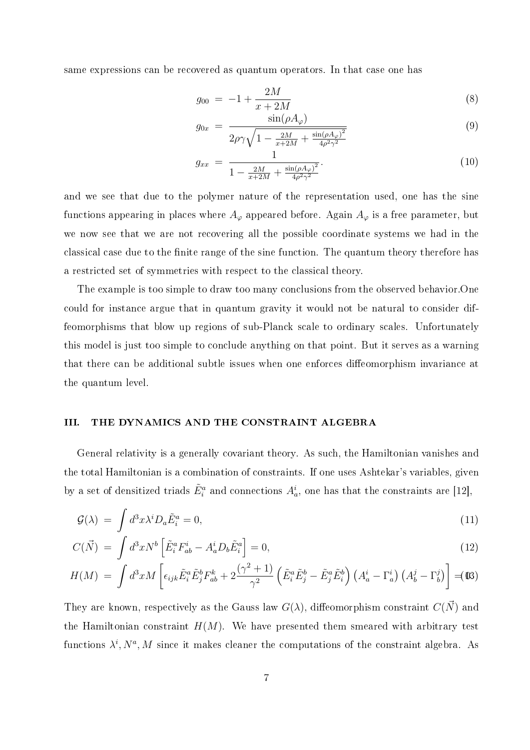same expressions can be recovered as quantum operators. In that case one has

$$
g_{00} = -1 + \frac{2M}{x + 2M} \tag{8}
$$

$$
g_{0x} = \frac{\sin(\rho A_{\varphi})}{2\rho\gamma\sqrt{1 - \frac{2M}{x + 2M} + \frac{\sin(\rho A_{\varphi})^2}{4\rho^2\gamma^2}}}
$$
(9)

$$
g_{xx} = \frac{1}{1 - \frac{2M}{x + 2M} + \frac{\sin(\rho A_{\varphi})^2}{4\rho^2 \gamma^2}}.
$$
\n(10)

and we see that due to the polymer nature of the representation used, one has the sine functions appearing in places where  $A_{\varphi}$  appeared before. Again  $A_{\varphi}$  is a free parameter, but we now see that we are not recovering all the possible coordinate systems we had in the classical case due to the finite range of the sine function. The quantum theory therefore has a restricted set of symmetries with respect to the classical theory.

The example is too simple to draw too many conclusions from the observed behavior.One could for instance argue that in quantum gravity it would not be natural to consider diffeomorphisms that blow up regions of sub-Planck scale to ordinary scales. Unfortunately this model is just too simple to conclude anything on that point. But it serves as a warning that there can be additional subtle issues when one enforces diffeomorphism invariance at the quantum level.

#### III. THE DYNAMICS AND THE CONSTRAINT ALGEBRA

General relativity is a generally covariant theory. As such, the Hamiltonian vanishes and the total Hamiltonian is a combination of constraints. If one uses Ashtekar's variables, given by a set of densitized triads  $\tilde{E}^a_i$  and connections  $A_a^i$ , one has that the constraints are [12],

$$
\mathcal{G}(\lambda) = \int d^3x \lambda^i D_a \tilde{E}_i^a = 0, \qquad (11)
$$

$$
C(\vec{N}) = \int d^3x N^b \left[ \tilde{E}_i^a F_{ab}^i - A_a^i D_b \tilde{E}_i^a \right] = 0,
$$
\n(12)

$$
H(M) = \int d^3x M \left[ \epsilon_{ijk} \tilde{E}_i^a \tilde{E}_j^b F_{ab}^k + 2 \frac{(\gamma^2 + 1)}{\gamma^2} \left( \tilde{E}_i^a \tilde{E}_j^b - \tilde{E}_j^a \tilde{E}_i^b \right) \left( A_a^i - \Gamma_a^i \right) \left( A_b^j - \Gamma_b^j \right) \right] = \mathbf{0.3}
$$

They are known, respectively as the Gauss law  $G(\lambda)$ , diffeomorphism constraint  $C(\vec{N})$  and the Hamiltonian constraint  $H(M)$ . We have presented them smeared with arbitrary test functions  $\lambda^i, N^a, M$  since it makes cleaner the computations of the constraint algebra. As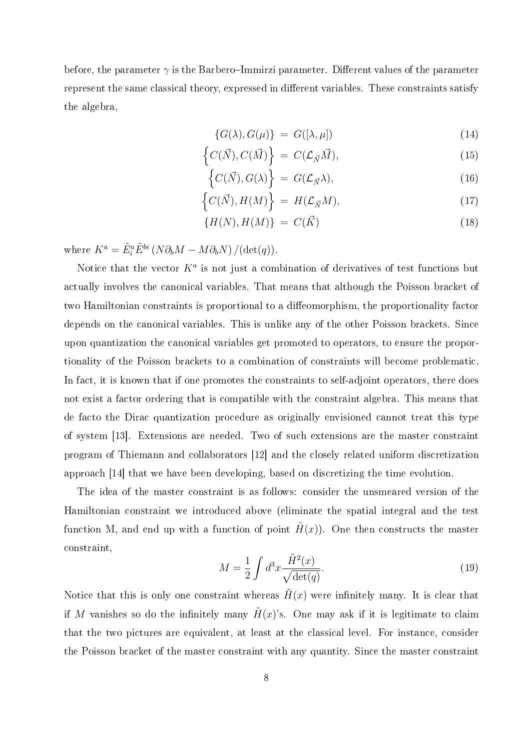before, the parameter  $\gamma$  is the Barbero-Immirzi parameter. Different values of the parameter represent the same classical theory, expressed in different variables. These constraints satisfy the algebra,

$$
\{G(\lambda), G(\mu)\} = G([\lambda, \mu]) \tag{14}
$$

$$
\left\{ C(\vec{N}), C(\vec{M}) \right\} = C(\mathcal{L}_{\vec{N}} \vec{M}), \tag{15}
$$

$$
\left\{ C(\vec{N}), G(\lambda) \right\} = G(\mathcal{L}_{\vec{N}} \lambda), \tag{16}
$$

$$
\left\{ C(\vec{N}), H(M) \right\} = H(\mathcal{L}_{\vec{N}}M), \tag{17}
$$

$$
\{H(N), H(M)\} = C(\vec{K})\tag{18}
$$

where  $K^a = \tilde{E}^a_i \tilde{E}^{bi} (N \partial_b M - M \partial_b N) / (\det(q)).$ 

Notice that the vector  $K^a$  is not just a combination of derivatives of test functions but actually involves the canonical variables. That means that although the Poisson bracket of two Hamiltonian constraints is proportional to a diffeomorphism, the proportionality factor depends on the canonical variables. This is unlike any of the other Poisson brackets. Since upon quantization the canonical variables get promoted to operators, to ensure the proportionality of the Poisson brackets to a combination of constraints will become problematic. In fact, it is known that if one promotes the constraints to self-adjoint operators, there does not exist a factor ordering that is compatible with the constraint algebra. This means that de facto the Dirac quantization procedure as originally envisioned cannot treat this type of system [13]. Extensions are needed. Two of such extensions are the master constraint program of Thiemann and collaborators [12] and the closely related uniform discretization approach [14] that we have been developing, based on discretizing the time evolution.

The idea of the master constraint is as follows: consider the unsmeared version of the Hamiltonian constraint we introduced above (eliminate the spatial integral and the test function M, and end up with a function of point  $H(x)$ ). One then constructs the master constraint,

$$
M = \frac{1}{2} \int d^3x \frac{\tilde{H}^2(x)}{\sqrt{\det(q)}}.
$$
\n(19)

Notice that this is only one constraint whereas  $H(x)$  were infinitely many. It is clear that if M vanishes so do the infinitely many  $H(x)$ 's. One may ask if it is legitimate to claim that the two pictures are equivalent, at least at the classical level. For instance, consider the Poisson bracket of the master constraint with any quantity. Since the master constraint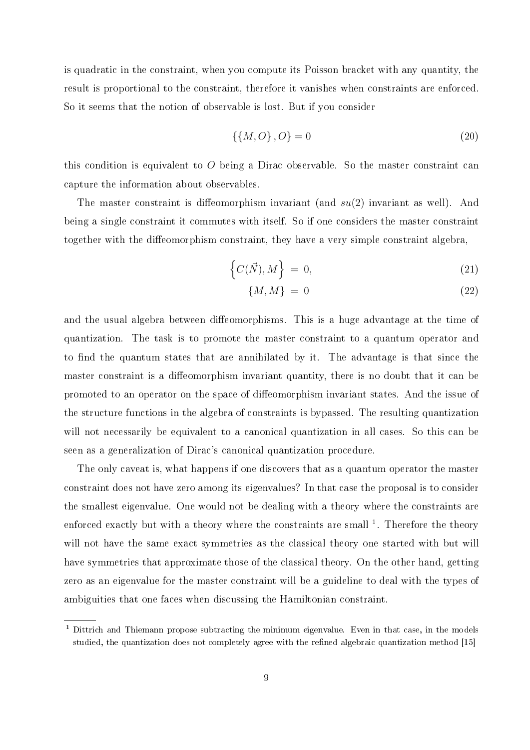is quadratic in the constraint, when you compute its Poisson bracket with any quantity, the result is proportional to the constraint, therefore it vanishes when constraints are enforced. So it seems that the notion of observable is lost. But if you consider

$$
\{\{M, O\}, O\} = 0\tag{20}
$$

this condition is equivalent to  $O$  being a Dirac observable. So the master constraint can capture the information about observables.

The master constraint is diffeomorphism invariant (and  $su(2)$  invariant as well). And being a single constraint it commutes with itself. So if one considers the master constraint together with the diffeomorphism constraint, they have a very simple constraint algebra,

$$
\left\{ C(\vec{N}), M \right\} = 0, \tag{21}
$$

$$
\{M, M\} = 0 \tag{22}
$$

and the usual algebra between diffeomorphisms. This is a huge advantage at the time of quantization. The task is to promote the master constraint to a quantum operator and to find the quantum states that are annihilated by it. The advantage is that since the master constraint is a diffeomorphism invariant quantity, there is no doubt that it can be promoted to an operator on the space of diffeomorphism invariant states. And the issue of the structure functions in the algebra of constraints is bypassed. The resulting quantization will not necessarily be equivalent to a canonical quantization in all cases. So this can be seen as a generalization of Dirac's canonical quantization procedure.

The only caveat is, what happens if one discovers that as a quantum operator the master constraint does not have zero among its eigenvalues? In that case the proposal is to consider the smallest eigenvalue. One would not be dealing with a theory where the constraints are enforced exactly but with a theory where the constraints are small <sup>1</sup>. Therefore the theory will not have the same exact symmetries as the classical theory one started with but will have symmetries that approximate those of the classical theory. On the other hand, getting zero as an eigenvalue for the master constraint will be a guideline to deal with the types of ambiguities that one faces when discussing the Hamiltonian constraint.

 $<sup>1</sup>$  Dittrich and Thiemann propose subtracting the minimum eigenvalue. Even in that case, in the models</sup> studied, the quantization does not completely agree with the refined algebraic quantization method [15]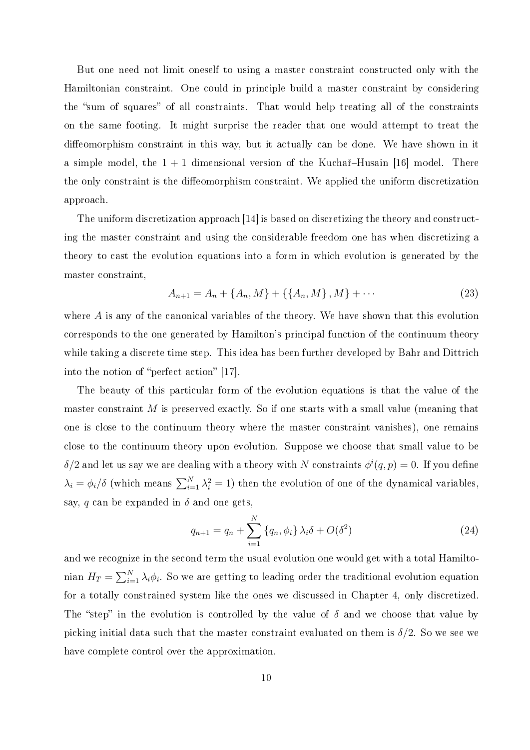But one need not limit oneself to using a master constraint constructed only with the Hamiltonian constraint. One could in principle build a master constraint by considering the "sum of squares" of all constraints. That would help treating all of the constraints on the same footing. It might surprise the reader that one would attempt to treat the diffeomorphism constraint in this way, but it actually can be done. We have shown in it a simple model, the  $1 + 1$  dimensional version of the Kuchař-Husain [16] model. There the only constraint is the diffeomorphism constraint. We applied the uniform discretization approach.

The uniform discretization approach [14] is based on discretizing the theory and constructing the master constraint and using the considerable freedom one has when discretizing a theory to cast the evolution equations into a form in which evolution is generated by the master constraint,

$$
A_{n+1} = A_n + \{A_n, M\} + \{\{A_n, M\}, M\} + \cdots
$$
\n(23)

where A is any of the canonical variables of the theory. We have shown that this evolution corresponds to the one generated by Hamilton's principal function of the continuum theory while taking a discrete time step. This idea has been further developed by Bahr and Dittrich into the notion of "perfect action"  $[17]$ .

The beauty of this particular form of the evolution equations is that the value of the master constraint  $M$  is preserved exactly. So if one starts with a small value (meaning that one is close to the continuum theory where the master constraint vanishes), one remains close to the continuum theory upon evolution. Suppose we choose that small value to be  $\delta/2$  and let us say we are dealing with a theory with N constraints  $\phi^{i}(q,p) = 0$ . If you define  $\lambda_i = \phi_i/\delta$  (which means  $\sum_{i=1}^{N} \lambda_i^2 = 1$ ) then the evolution of one of the dynamical variables, say, q can be expanded in  $\delta$  and one gets,

$$
q_{n+1} = q_n + \sum_{i=1}^{N} \{q_n, \phi_i\} \lambda_i \delta + O(\delta^2)
$$
 (24)

and we recognize in the second term the usual evolution one would get with a total Hamiltonian  $H_T = \sum_{i=1}^{N} \lambda_i \phi_i$ . So we are getting to leading order the traditional evolution equation for a totally constrained system like the ones we discussed in Chapter 4, only discretized. The "step" in the evolution is controlled by the value of  $\delta$  and we choose that value by picking initial data such that the master constraint evaluated on them is  $\delta/2$ . So we see we have complete control over the approximation.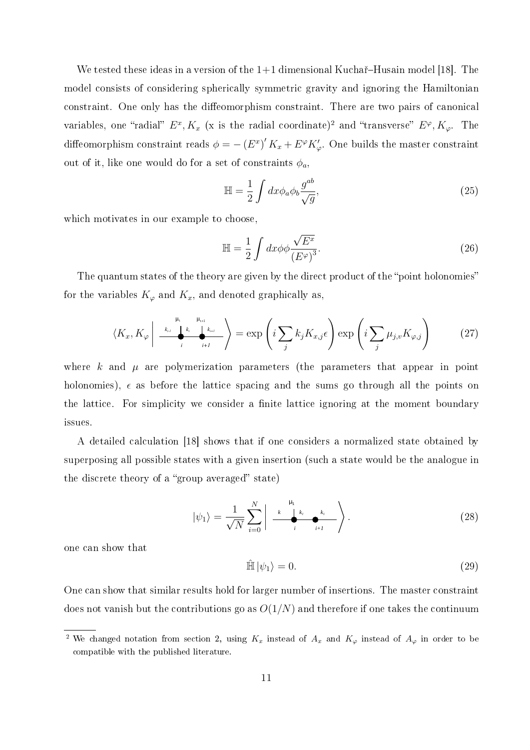We tested these ideas in a version of the  $1+1$  dimensional Kuchar-Husain model [18]. The model consists of considering spherically symmetric gravity and ignoring the Hamiltonian constraint. One only has the diffeomorphism constraint. There are two pairs of canonical variables, one "radial"  $E^x$ ,  $K_x$  (x is the radial coordinate)<sup>2</sup> and "transverse"  $E^{\varphi}$ ,  $K_{\varphi}$ . The diffeomorphism constraint reads  $\phi = -\left(E^x\right)' K_x + E^{\varphi} K'_{\varphi}$ . One builds the master constraint out of it, like one would do for a set of constraints  $\phi_a$ ,

$$
\mathbb{H} = \frac{1}{2} \int dx \phi_a \phi_b \frac{g^{ab}}{\sqrt{g}},\tag{25}
$$

which motivates in our example to choose,

$$
\mathbb{H} = \frac{1}{2} \int dx \phi \phi \frac{\sqrt{E^x}}{(E^\varphi)^3}.
$$
\n(26)

The quantum states of the theory are given by the direct product of the "point holonomies" for the variables  $K_{\varphi}$  and  $K_x$ , and denoted graphically as,

$$
\langle K_x, K_{\varphi} \mid \frac{\mu_i}{\sum_{i} \mu_{i+1}} \right|_{i+1} \ge \exp\left(i \sum_j k_j K_{x,j} \epsilon\right) \exp\left(i \sum_j \mu_{j,v} K_{\varphi,j}\right) \tag{27}
$$

where k and  $\mu$  are polymerization parameters (the parameters that appear in point holonomies),  $\epsilon$  as before the lattice spacing and the sums go through all the points on the lattice. For simplicity we consider a finite lattice ignoring at the moment boundary issues.

A detailed calculation [18] shows that if one considers a normalized state obtained by superposing all possible states with a given insertion (such a state would be the analogue in the discrete theory of a "group averaged" state)

$$
|\psi_1\rangle = \frac{1}{\sqrt{N}} \sum_{i=0}^{N} \left| \frac{\sum_{k=1}^{M_1} k_i}{\sum_{i=1}^{M_1} \sum_{j=1}^{N_i}} \right\rangle.
$$
 (28)

one can show that

$$
\hat{\mathbb{H}}\left|\psi_1\right\rangle = 0.\tag{29}
$$

One can show that similar results hold for larger number of insertions. The master constraint does not vanish but the contributions go as  $O(1/N)$  and therefore if one takes the continuum

<sup>&</sup>lt;sup>2</sup> We changed notation from section 2, using  $K_x$  instead of  $A_x$  and  $K_\varphi$  instead of  $A_\varphi$  in order to be compatible with the published literature.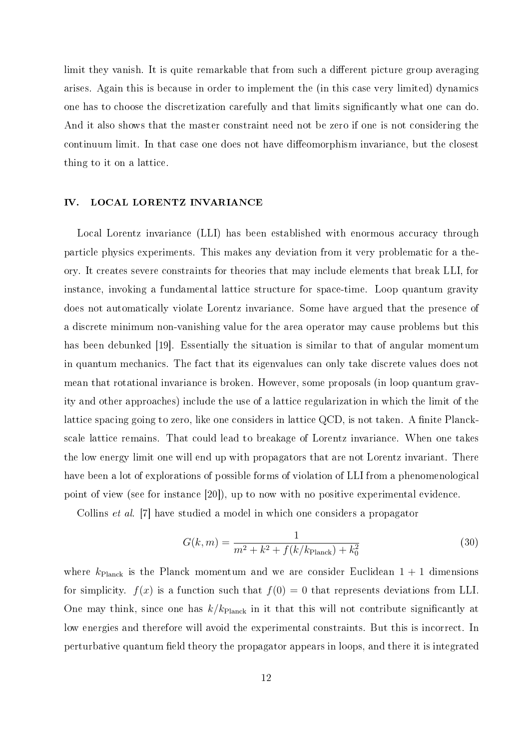limit they vanish. It is quite remarkable that from such a different picture group averaging arises. Again this is because in order to implement the (in this case very limited) dynamics one has to choose the discretization carefully and that limits signicantly what one can do. And it also shows that the master constraint need not be zero if one is not considering the continuum limit. In that case one does not have diffeomorphism invariance, but the closest thing to it on a lattice.

#### IV. LOCAL LORENTZ INVARIANCE

Local Lorentz invariance (LLI) has been established with enormous accuracy through particle physics experiments. This makes any deviation from it very problematic for a theory. It creates severe constraints for theories that may include elements that break LLI, for instance, invoking a fundamental lattice structure for space-time. Loop quantum gravity does not automatically violate Lorentz invariance. Some have argued that the presence of a discrete minimum non-vanishing value for the area operator may cause problems but this has been debunked [19]. Essentially the situation is similar to that of angular momentum in quantum mechanics. The fact that its eigenvalues can only take discrete values does not mean that rotational invariance is broken. However, some proposals (in loop quantum gravity and other approaches) include the use of a lattice regularization in which the limit of the lattice spacing going to zero, like one considers in lattice  $QCD$ , is not taken. A finite Planckscale lattice remains. That could lead to breakage of Lorentz invariance. When one takes the low energy limit one will end up with propagators that are not Lorentz invariant. There have been a lot of explorations of possible forms of violation of LLI from a phenomenological point of view (see for instance [20]), up to now with no positive experimental evidence.

Collins et al. [7] have studied a model in which one considers a propagator

$$
G(k,m) = \frac{1}{m^2 + k^2 + f(k/k_{\text{Planck}}) + k_0^2}
$$
\n(30)

where  $k_{\text{Planck}}$  is the Planck momentum and we are consider Euclidean  $1 + 1$  dimensions for simplicity.  $f(x)$  is a function such that  $f(0) = 0$  that represents deviations from LLI. One may think, since one has  $k/k_{\text{Planck}}$  in it that this will not contribute significantly at low energies and therefore will avoid the experimental constraints. But this is incorrect. In perturbative quantum field theory the propagator appears in loops, and there it is integrated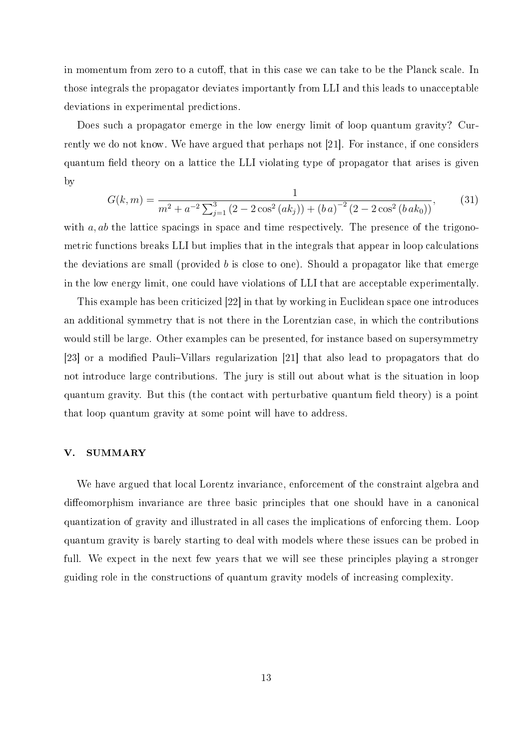in momentum from zero to a cutoff, that in this case we can take to be the Planck scale. In those integrals the propagator deviates importantly from LLI and this leads to unacceptable deviations in experimental predictions.

Does such a propagator emerge in the low energy limit of loop quantum gravity? Currently we do not know. We have argued that perhaps not [21]. For instance, if one considers quantum field theory on a lattice the LLI violating type of propagator that arises is given by

$$
G(k,m) = \frac{1}{m^2 + a^{-2} \sum_{j=1}^3 (2 - 2 \cos^2 (ak_j)) + (b a)^{-2} (2 - 2 \cos^2 (b ak_0))},
$$
(31)

with  $a, ab$  the lattice spacings in space and time respectively. The presence of the trigonometric functions breaks LLI but implies that in the integrals that appear in loop calculations the deviations are small (provided b is close to one). Should a propagator like that emerge in the low energy limit, one could have violations of LLI that are acceptable experimentally.

This example has been criticized [22] in that by working in Euclidean space one introduces an additional symmetry that is not there in the Lorentzian case, in which the contributions would still be large. Other examples can be presented, for instance based on supersymmetry [23] or a modified Pauli–Villars regularization [21] that also lead to propagators that do not introduce large contributions. The jury is still out about what is the situation in loop quantum gravity. But this (the contact with perturbative quantum field theory) is a point that loop quantum gravity at some point will have to address.

### V. SUMMARY

We have argued that local Lorentz invariance, enforcement of the constraint algebra and diffeomorphism invariance are three basic principles that one should have in a canonical quantization of gravity and illustrated in all cases the implications of enforcing them. Loop quantum gravity is barely starting to deal with models where these issues can be probed in full. We expect in the next few years that we will see these principles playing a stronger guiding role in the constructions of quantum gravity models of increasing complexity.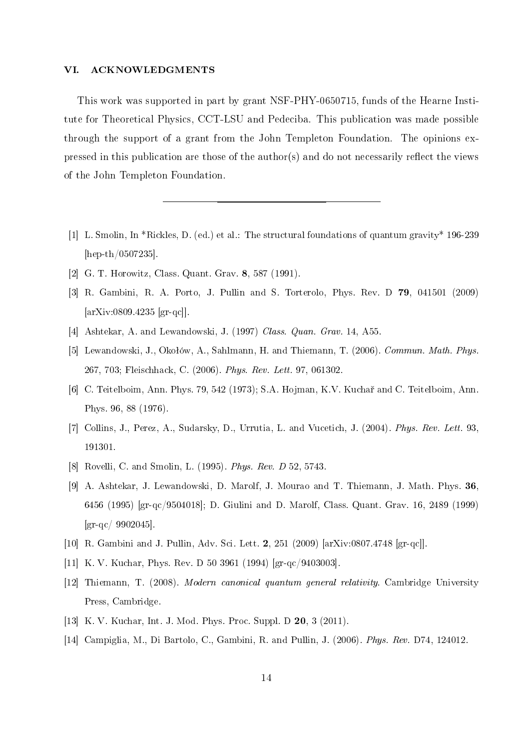#### VI. ACKNOWLEDGMENTS

This work was supported in part by grant NSF-PHY-0650715, funds of the Hearne Institute for Theoretical Physics, CCT-LSU and Pedeciba. This publication was made possible through the support of a grant from the John Templeton Foundation. The opinions expressed in this publication are those of the author(s) and do not necessarily reflect the views of the John Templeton Foundation.

- [1] L. Smolin, In \*Rickles, D. (ed.) et al.: The structural foundations of quantum gravity\* 196-239 [hep-th/0507235].
- [2] G. T. Horowitz, Class. Quant. Grav. 8, 587 (1991).
- [3] R. Gambini, R. A. Porto, J. Pullin and S. Torterolo, Phys. Rev. D 79, 041501 (2009) [arXiv:0809.4235 [gr-qc]].
- [4] Ashtekar, A. and Lewandowski, J. (1997) Class. Quan. Grav. 14, A55.
- [5] Lewandowski, J., Okołów, A., Sahlmann, H. and Thiemann, T. (2006). Commun. Math. Phys. 267, 703; Fleischhack, C. (2006). Phys. Rev. Lett. 97, 061302.
- [6] C. Teitelboim, Ann. Phys. 79, 542 (1973); S.A. Hojman, K.V. Kuchař and C. Teitelboim, Ann. Phys. 96, 88 (1976).
- [7] Collins, J., Perez, A., Sudarsky, D., Urrutia, L. and Vucetich, J. (2004). Phys. Rev. Lett. 93. 191301.
- [8] Rovelli, C. and Smolin, L. (1995). Phys. Rev. D 52, 5743.
- [9] A. Ashtekar, J. Lewandowski, D. Marolf, J. Mourao and T. Thiemann, J. Math. Phys. 36, 6456 (1995) [gr-qc/9504018]; D. Giulini and D. Marolf, Class. Quant. Grav. 16, 2489 (1999) [gr-qc/ 9902045].
- [10] R. Gambini and J. Pullin, Adv. Sci. Lett. 2, 251 (2009) [arXiv:0807.4748 [gr-qc]].
- [11] K. V. Kuchar, Phys. Rev. D 50 3961 (1994) [gr-qc/9403003].
- [12] Thiemann, T. (2008). Modern canonical quantum general relativity. Cambridge University Press, Cambridge.
- [13] K. V. Kuchar, Int. J. Mod. Phys. Proc. Suppl. D 20, 3 (2011).
- [14] Campiglia, M., Di Bartolo, C., Gambini, R. and Pullin, J. (2006). Phys. Rev. D74, 124012.